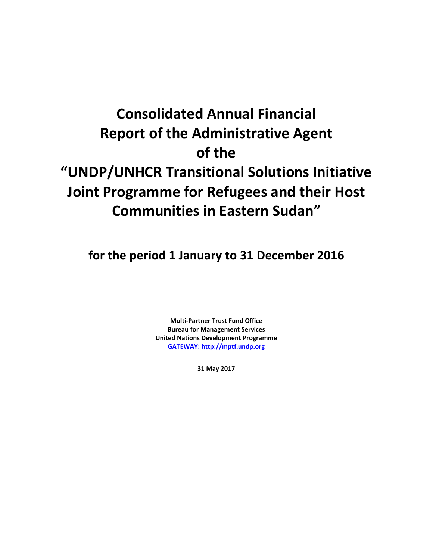# **Consolidated Annual Financial Report of the Administrative Agent of the "UNDP/UNHCR Transitional Solutions Initiative Joint Programme for Refugees and their Host Communities in Eastern Sudan"**

**for the period 1 January to 31 December 2016**

**Multi-Partner Trust Fund Office Bureau for Management Services United Nations Development Programme [GATEWAY: http://mptf.undp.org](http://mptf.undp.org/)**

**31 May 2017**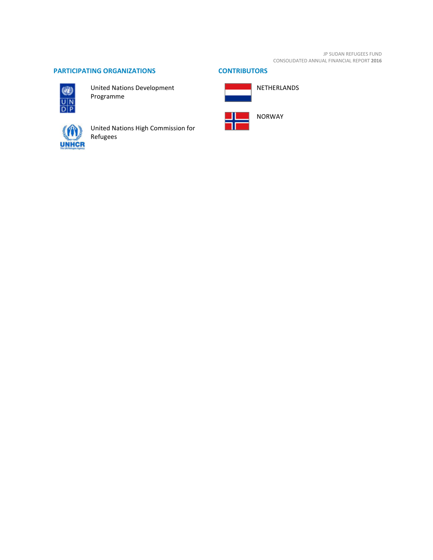JP SUDAN REFUGEES FUND CONSOLIDATED ANNUAL FINANCIAL REPORT **2016**

# **PARTICIPATING ORGANIZATIONS CONTRIBUTORS**



United Nations Development Programme



United Nations High Commission for Refugees



NETHERLANDS



NORWAY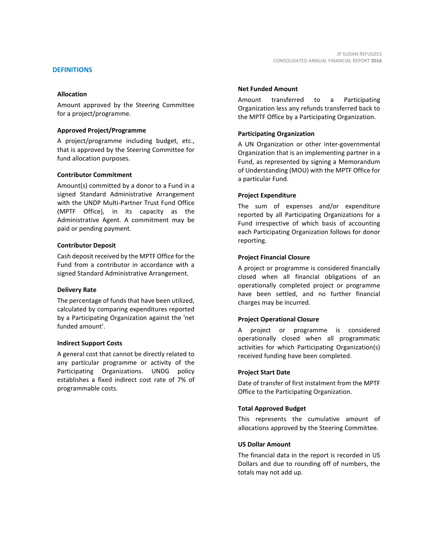Amount approved by the Steering Committee for a project/programme.

#### **Approved Project/Programme**

A project/programme including budget, etc., that is approved by the Steering Committee for fund allocation purposes.

#### **Contributor Commitment**

Amount(s) committed by a donor to a Fund in a signed Standard Administrative Arrangement with the UNDP Multi-Partner Trust Fund Office (MPTF Office), in its capacity as the Administrative Agent. A commitment may be paid or pending payment.

#### **Contributor Deposit**

Cash deposit received by the MPTF Office for the Fund from a contributor in accordance with a signed Standard Administrative Arrangement.

#### **Delivery Rate**

The percentage of funds that have been utilized, calculated by comparing expenditures reported by a Participating Organization against the 'net funded amount'.

#### **Indirect Support Costs**

A general cost that cannot be directly related to any particular programme or activity of the Participating Organizations. UNDG policy establishes a fixed indirect cost rate of 7% of programmable costs.

# **Net Funded Amount**

Amount transferred to a Participating Organization less any refunds transferred back to the MPTF Office by a Participating Organization.

#### **Participating Organization**

A UN Organization or other inter-governmental Organization that is an implementing partner in a Fund, as represented by signing a Memorandum of Understanding (MOU) with the MPTF Office for a particular Fund.

#### **Project Expenditure**

The sum of expenses and/or expenditure reported by all Participating Organizations for a Fund irrespective of which basis of accounting each Participating Organization follows for donor reporting.

#### **Project Financial Closure**

A project or programme is considered financially closed when all financial obligations of an operationally completed project or programme have been settled, and no further financial charges may be incurred.

#### **Project Operational Closure**

A project or programme is considered operationally closed when all programmatic activities for which Participating Organization(s) received funding have been completed.

#### **Project Start Date**

Date of transfer of first instalment from the MPTF Office to the Participating Organization.

#### **Total Approved Budget**

This represents the cumulative amount of allocations approved by the Steering Committee.

#### **US Dollar Amount**

The financial data in the report is recorded in US Dollars and due to rounding off of numbers, the totals may not add up.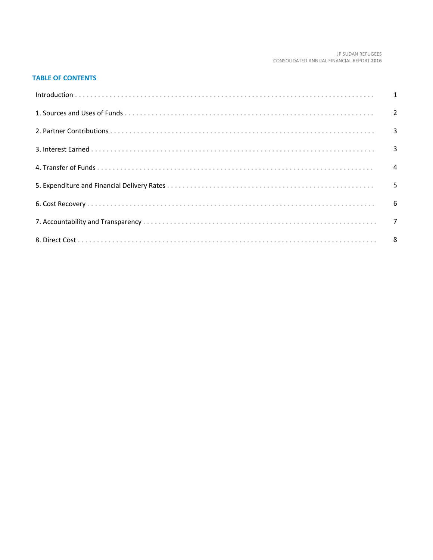#### JP SUDAN REFUGEES CONSOLIDATED ANNUAL FINANCIAL REPORT 2016

# **TABLE OF CONTENTS**

| 5 |
|---|
|   |
|   |
|   |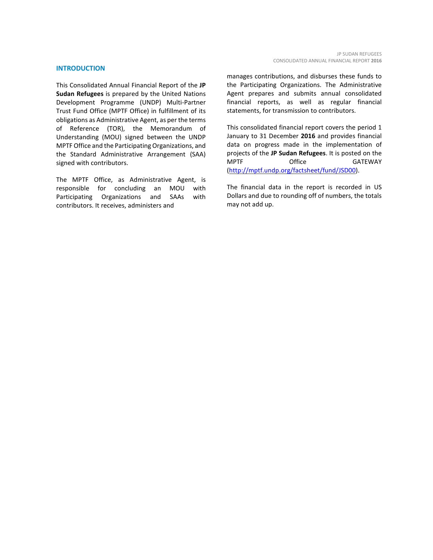#### **INTRODUCTION**

This Consolidated Annual Financial Report of the **JP Sudan Refugees** is prepared by the United Nations Development Programme (UNDP) Multi-Partner Trust Fund Office (MPTF Office) in fulfillment of its obligations as Administrative Agent, as per the terms of Reference (TOR), the Memorandum of Understanding (MOU) signed between the UNDP MPTF Office and the Participating Organizations, and the Standard Administrative Arrangement (SAA) signed with contributors.

The MPTF Office, as Administrative Agent, is responsible for concluding an MOU with Participating Organizations and SAAs with contributors. It receives, administers and

manages contributions, and disburses these funds to the Participating Organizations. The Administrative Agent prepares and submits annual consolidated financial reports, as well as regular financial statements, for transmission to contributors.

This consolidated financial report covers the period 1 January to 31 December **2016** and provides financial data on progress made in the implementation of projects of the **JP Sudan Refugees**. It is posted on the MPTF Office GATEWAY [\(http://mptf.undp.org/factsheet/fund/JSD00\)](http://mptf.undp.org/factsheet/fund/JSD00).

The financial data in the report is recorded in US Dollars and due to rounding off of numbers, the totals may not add up.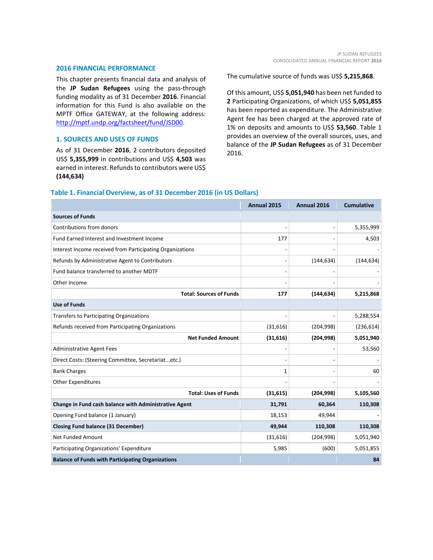#### **2016 FINANCIAL PERFORMANCE**

This chapter presents financial data and analysis of the **JP Sudan Refugees** using the pass-through funding modality as of 31 December **2016**. Financial information for this Fund is also available on the MPTF Office GATEWAY, at the following address: [http://mptf.undp.org/factsheet/fund/JSD00.](http://mptf.undp.org/factsheet/fund/JSD00)

#### **1. SOURCES AND USES OF FUNDS**

As of 31 December **2016**, 2 contributors deposited US\$ **5,355,999** in contributions and US\$ **4,503** was earned in interest. Refunds to contributors were US\$ **(144,634)**

The cumulative source of funds was US\$ **5,215,868**.

Of this amount, US\$ **5,051,940** has been net funded to **2** Participating Organizations, of which US\$ **5,051,855** has been reported as expenditure. The Administrative Agent fee has been charged at the approved rate of 1% on deposits and amounts to US\$ **53,560**. Table 1 provides an overview of the overall sources, uses, and balance of the **JP Sudan Refugees** as of 31 December 2016.

### **Table 1. Financial Overview, as of 31 December 2016 (in US Dollars)**

|                                                           | Annual 2015 | Annual 2016 | <b>Cumulative</b> |
|-----------------------------------------------------------|-------------|-------------|-------------------|
| <b>Sources of Funds</b>                                   |             |             |                   |
| Contributions from donors                                 |             |             | 5,355,999         |
| Fund Earned Interest and Investment Income                | 177         |             | 4,503             |
| Interest Income received from Participating Organizations |             |             |                   |
| Refunds by Administrative Agent to Contributors           |             | (144, 634)  | (144, 634)        |
| Fund balance transferred to another MDTF                  |             |             |                   |
| Other Income                                              |             |             |                   |
| <b>Total: Sources of Funds</b>                            | 177         | (144, 634)  | 5,215,868         |
| <b>Use of Funds</b>                                       |             |             |                   |
| Transfers to Participating Organizations                  |             |             | 5,288,554         |
| Refunds received from Participating Organizations         | (31, 616)   | (204, 998)  | (236, 614)        |
| <b>Net Funded Amount</b>                                  | (31, 616)   | (204, 998)  | 5,051,940         |
| Administrative Agent Fees                                 |             |             | 53,560            |
| Direct Costs: (Steering Committee, Secretariatetc.)       |             |             |                   |
| <b>Bank Charges</b>                                       | 1           |             | 60                |
| <b>Other Expenditures</b>                                 |             |             |                   |
| <b>Total: Uses of Funds</b>                               | (31, 615)   | (204, 998)  | 5,105,560         |
| Change in Fund cash balance with Administrative Agent     | 31,791      | 60,364      | 110,308           |
| Opening Fund balance (1 January)                          | 18,153      | 49,944      |                   |
| <b>Closing Fund balance (31 December)</b>                 | 49,944      | 110,308     | 110,308           |
| <b>Net Funded Amount</b>                                  | (31,616)    | (204, 998)  | 5,051,940         |
| Participating Organizations' Expenditure                  | 5,985       | (600)       | 5,051,855         |
| <b>Balance of Funds with Participating Organizations</b>  |             |             | 84                |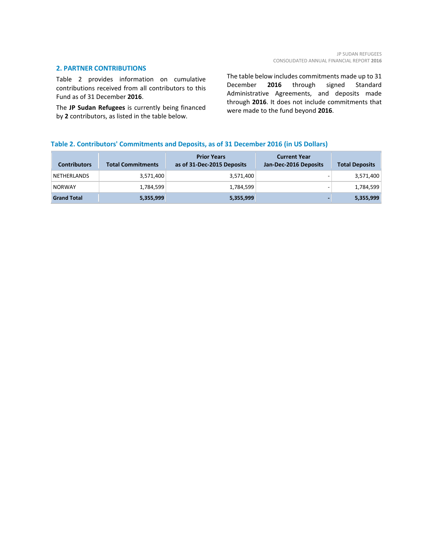#### **2. PARTNER CONTRIBUTIONS**

Table 2 provides information on cumulative contributions received from all contributors to this Fund as of 31 December **2016**.

The **JP Sudan Refugees** is currently being financed by **2** contributors, as listed in the table below.

The table below includes commitments made up to 31 December **2016** through signed Standard Administrative Agreements, and deposits made through **2016**. It does not include commitments that were made to the fund beyond **2016**.

# **Table 2. Contributors' Commitments and Deposits, as of 31 December 2016 (in US Dollars)**

| <b>Contributors</b> | <b>Total Commitments</b> | <b>Prior Years</b><br>as of 31-Dec-2015 Deposits | <b>Current Year</b><br>Jan-Dec-2016 Deposits | <b>Total Deposits</b> |
|---------------------|--------------------------|--------------------------------------------------|----------------------------------------------|-----------------------|
| <b>NETHERLANDS</b>  | 3,571,400                | 3,571,400                                        |                                              | 3,571,400             |
| <b>NORWAY</b>       | 1,784,599                | 1,784,599                                        |                                              | 1,784,599             |
| <b>Grand Total</b>  | 5,355,999                | 5,355,999                                        |                                              | 5,355,999             |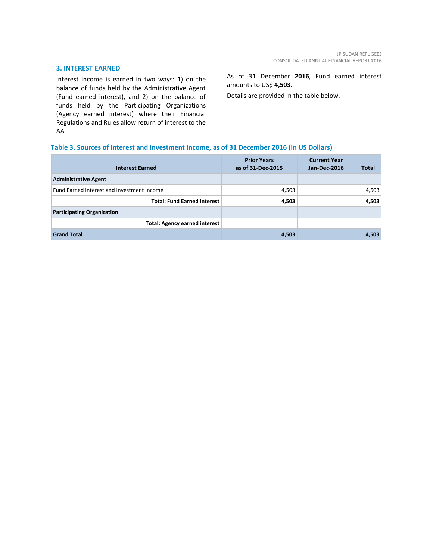#### **3. INTEREST EARNED**

Interest income is earned in two ways: 1) on the balance of funds held by the Administrative Agent (Fund earned interest), and 2) on the balance of funds held by the Participating Organizations (Agency earned interest) where their Financial Regulations and Rules allow return of interest to the AA.

As of 31 December **2016**, Fund earned interest amounts to US\$ **4,503**.

Details are provided in the table below.

# **Table 3. Sources of Interest and Investment Income, as of 31 December 2016 (in US Dollars)**

| <b>Interest Earned</b>                     | <b>Prior Years</b><br>as of 31-Dec-2015 | <b>Current Year</b><br>Jan-Dec-2016 | <b>Total</b> |
|--------------------------------------------|-----------------------------------------|-------------------------------------|--------------|
| <b>Administrative Agent</b>                |                                         |                                     |              |
| Fund Earned Interest and Investment Income | 4,503                                   |                                     | 4,503        |
| <b>Total: Fund Earned Interest</b>         | 4,503                                   |                                     | 4,503        |
| <b>Participating Organization</b>          |                                         |                                     |              |
| <b>Total: Agency earned interest</b>       |                                         |                                     |              |
| <b>Grand Total</b>                         | 4,503                                   |                                     | 4,503        |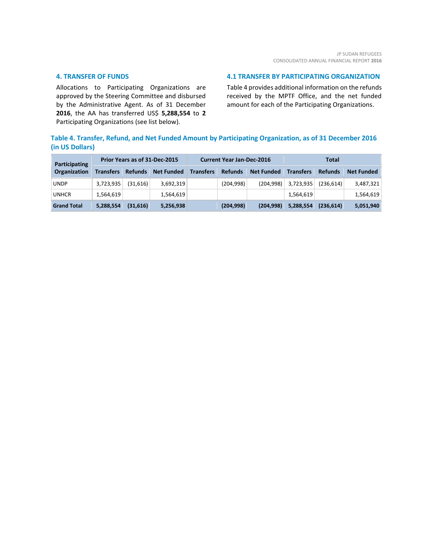#### **4. TRANSFER OF FUNDS**

Allocations to Participating Organizations are approved by the Steering Committee and disbursed by the Administrative Agent. As of 31 December **2016**, the AA has transferred US\$ **5,288,554** to **2** Participating Organizations (see list below).

#### **4.1 TRANSFER BY PARTICIPATING ORGANIZATION**

Table 4 provides additional information on the refunds received by the MPTF Office, and the net funded amount for each of the Participating Organizations.

# **Table 4. Transfer, Refund, and Net Funded Amount by Participating Organization, as of 31 December 2016 (in US Dollars)**

| <b>Participating</b> | Prior Years as of 31-Dec-2015 |                |                   | <b>Current Year Jan-Dec-2016</b> |                |                   | Total            |                |                   |
|----------------------|-------------------------------|----------------|-------------------|----------------------------------|----------------|-------------------|------------------|----------------|-------------------|
| Organization         | <b>Transfers</b>              | <b>Refunds</b> | <b>Net Funded</b> | <b>Transfers</b>                 | <b>Refunds</b> | <b>Net Funded</b> | <b>Transfers</b> | <b>Refunds</b> | <b>Net Funded</b> |
| <b>UNDP</b>          | 3,723,935                     | (31,616)       | 3,692,319         |                                  | (204, 998)     | (204, 998)        | 3,723,935        | (236.614)      | 3,487,321         |
| <b>UNHCR</b>         | 1,564,619                     |                | 1,564,619         |                                  |                |                   | 1,564,619        |                | 1,564,619         |
| <b>Grand Total</b>   | 5,288,554                     | (31,616)       | 5,256,938         |                                  | (204, 998)     | (204, 998)        | 5,288,554        | (236, 614)     | 5,051,940         |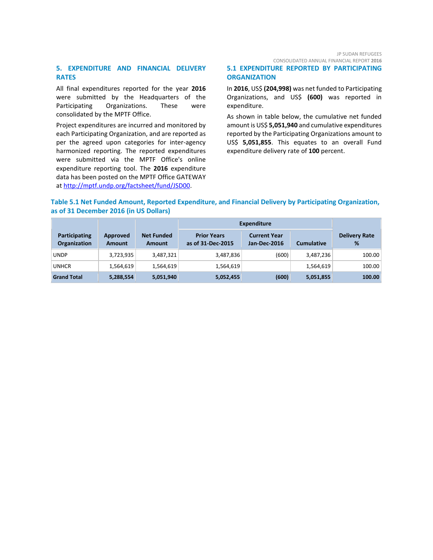## **5. EXPENDITURE AND FINANCIAL DELIVERY RATES**

All final expenditures reported for the year **2016** were submitted by the Headquarters of the Participating Organizations. These were consolidated by the MPTF Office.

Project expenditures are incurred and monitored by each Participating Organization, and are reported as per the agreed upon categories for inter-agency harmonized reporting. The reported expenditures were submitted via the MPTF Office's online expenditure reporting tool. The **2016** expenditure data has been posted on the MPTF Office GATEWAY at [http://mptf.undp.org/factsheet/fund/JSD00.](http://mptf.undp.org/factsheet/fund/JSD00)

# JP SUDAN REFUGEES

CONSOLIDATED ANNUAL FINANCIAL REPORT **2016**

### **5.1 EXPENDITURE REPORTED BY PARTICIPATING ORGANIZATION**

In **2016**, US\$ **(204,998)** was net funded to Participating Organizations, and US\$ **(600)** was reported in expenditure.

As shown in table below, the cumulative net funded amount is US\$ **5,051,940** and cumulative expenditures reported by the Participating Organizations amount to US\$ **5,051,855**. This equates to an overall Fund expenditure delivery rate of **100** percent.

# **Table 5.1 Net Funded Amount, Reported Expenditure, and Financial Delivery by Participating Organization, as of 31 December 2016 (in US Dollars)**

|                                             |                           |                             | <b>Expenditure</b>                      |                                     |                   |                           |
|---------------------------------------------|---------------------------|-----------------------------|-----------------------------------------|-------------------------------------|-------------------|---------------------------|
| <b>Participating</b><br><b>Organization</b> | Approved<br><b>Amount</b> | <b>Net Funded</b><br>Amount | <b>Prior Years</b><br>as of 31-Dec-2015 | <b>Current Year</b><br>Jan-Dec-2016 | <b>Cumulative</b> | <b>Delivery Rate</b><br>% |
| <b>UNDP</b>                                 | 3,723,935                 | 3,487,321                   | 3,487,836                               | (600)                               | 3,487,236         | 100.00                    |
| <b>UNHCR</b>                                | 1,564,619                 | 1,564,619                   | 1,564,619                               |                                     | 1,564,619         | 100.00                    |
| <b>Grand Total</b>                          | 5,288,554                 | 5,051,940                   | 5,052,455                               | (600)                               | 5,051,855         | 100.00                    |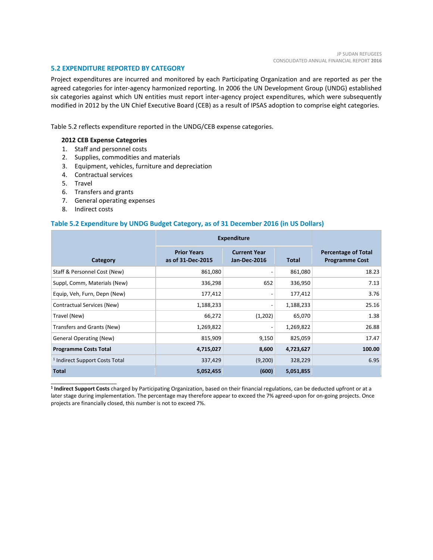#### **5.2 EXPENDITURE REPORTED BY CATEGORY**

Project expenditures are incurred and monitored by each Participating Organization and are reported as per the agreed categories for inter-agency harmonized reporting. In 2006 the UN Development Group (UNDG) established six categories against which UN entities must report inter-agency project expenditures, which were subsequently modified in 2012 by the UN Chief Executive Board (CEB) as a result of IPSAS adoption to comprise eight categories.

Table 5.2 reflects expenditure reported in the UNDG/CEB expense categories.

# **2012 CEB Expense Categories**

- 1. Staff and personnel costs
- 2. Supplies, commodities and materials
- 3. Equipment, vehicles, furniture and depreciation
- 4. Contractual services
- 5. Travel
- 6. Transfers and grants
- 7. General operating expenses
- 8. Indirect costs

\_\_\_\_\_\_\_\_\_\_\_\_\_\_\_\_\_\_\_\_\_\_

#### **Table 5.2 Expenditure by UNDG Budget Category, as of 31 December 2016 (in US Dollars)**

|                                           | <b>Expenditure</b>                      |                                     |              |                                                     |
|-------------------------------------------|-----------------------------------------|-------------------------------------|--------------|-----------------------------------------------------|
| Category                                  | <b>Prior Years</b><br>as of 31-Dec-2015 | <b>Current Year</b><br>Jan-Dec-2016 | <b>Total</b> | <b>Percentage of Total</b><br><b>Programme Cost</b> |
| Staff & Personnel Cost (New)              | 861,080                                 |                                     | 861,080      | 18.23                                               |
| Suppl, Comm, Materials (New)              | 336,298                                 | 652                                 | 336,950      | 7.13                                                |
| Equip, Veh, Furn, Depn (New)              | 177,412                                 |                                     | 177,412      | 3.76                                                |
| Contractual Services (New)                | 1,188,233                               |                                     | 1,188,233    | 25.16                                               |
| Travel (New)                              | 66,272                                  | (1,202)                             | 65,070       | 1.38                                                |
| Transfers and Grants (New)                | 1,269,822                               |                                     | 1,269,822    | 26.88                                               |
| <b>General Operating (New)</b>            | 815,909                                 | 9,150                               | 825,059      | 17.47                                               |
| <b>Programme Costs Total</b>              | 4,715,027                               | 8,600                               | 4,723,627    | 100.00                                              |
| <sup>1</sup> Indirect Support Costs Total | 337,429                                 | (9,200)                             | 328,229      | 6.95                                                |
| <b>Total</b>                              | 5,052,455                               | (600)                               | 5,051,855    |                                                     |

**<sup>1</sup> Indirect Support Costs** charged by Participating Organization, based on their financial regulations, can be deducted upfront or at a later stage during implementation. The percentage may therefore appear to exceed the 7% agreed-upon for on-going projects. Once projects are financially closed, this number is not to exceed 7%.